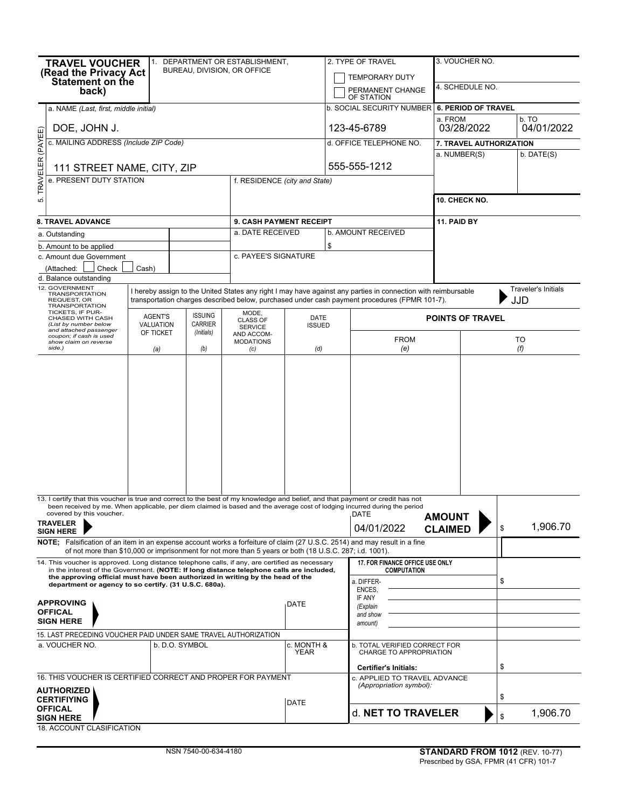| <b>TRAVEL VOUCHER</b><br>(Read the Privacy Act<br>Statement on the<br>back)<br>a. NAME (Last, first, middle initial)                                                                                                                                                          |                                                                                               |                                  | 1. DEPARTMENT OR ESTABLISHMENT,<br>BUREAU, DIVISION, OR OFFICE |                       | 2. TYPE OF TRAVEL<br><b>TEMPORARY DUTY</b><br>PERMANENT CHANGE<br>OF STATION<br><b>b. SOCIAL SECURITY NUMBER</b> |                                                                                                               | 3. VOUCHER NO.<br>4. SCHEDULE NO.<br>6. PERIOD OF TRAVEL |                            |  |  |
|-------------------------------------------------------------------------------------------------------------------------------------------------------------------------------------------------------------------------------------------------------------------------------|-----------------------------------------------------------------------------------------------|----------------------------------|----------------------------------------------------------------|-----------------------|------------------------------------------------------------------------------------------------------------------|---------------------------------------------------------------------------------------------------------------|----------------------------------------------------------|----------------------------|--|--|
|                                                                                                                                                                                                                                                                               |                                                                                               |                                  |                                                                |                       |                                                                                                                  |                                                                                                               | a. FROM<br>b. TO                                         |                            |  |  |
| DOE, JOHN J.                                                                                                                                                                                                                                                                  |                                                                                               |                                  |                                                                |                       | 123-45-6789                                                                                                      |                                                                                                               | 03/28/2022                                               | 04/01/2022                 |  |  |
| TRAVELER (PAYEE)<br>c. MAILING ADDRESS (Include ZIP Code)                                                                                                                                                                                                                     |                                                                                               |                                  |                                                                |                       |                                                                                                                  | d. OFFICE TELEPHONE NO.                                                                                       | 7. TRAVEL AUTHORIZATION                                  |                            |  |  |
|                                                                                                                                                                                                                                                                               |                                                                                               |                                  |                                                                |                       |                                                                                                                  |                                                                                                               | b. DATE(S)<br>a. NUMBER(S)                               |                            |  |  |
| 111 STREET NAME, CITY, ZIP                                                                                                                                                                                                                                                    |                                                                                               |                                  |                                                                |                       |                                                                                                                  | 555-555-1212                                                                                                  |                                                          |                            |  |  |
| e. PRESENT DUTY STATION                                                                                                                                                                                                                                                       | f. RESIDENCE (city and State)                                                                 |                                  |                                                                |                       |                                                                                                                  |                                                                                                               |                                                          |                            |  |  |
| ιó.                                                                                                                                                                                                                                                                           |                                                                                               |                                  |                                                                |                       | 10. CHECK NO.                                                                                                    |                                                                                                               |                                                          |                            |  |  |
|                                                                                                                                                                                                                                                                               |                                                                                               |                                  |                                                                |                       |                                                                                                                  |                                                                                                               |                                                          |                            |  |  |
| <b>8. TRAVEL ADVANCE</b>                                                                                                                                                                                                                                                      |                                                                                               |                                  |                                                                |                       | 9. CASH PAYMENT RECEIPT                                                                                          |                                                                                                               | 11. PAID BY                                              |                            |  |  |
| a. Outstanding                                                                                                                                                                                                                                                                |                                                                                               |                                  | a. DATE RECEIVED                                               |                       |                                                                                                                  | b. AMOUNT RECEIVED                                                                                            |                                                          |                            |  |  |
| b. Amount to be applied                                                                                                                                                                                                                                                       |                                                                                               |                                  |                                                                |                       | \$                                                                                                               |                                                                                                               |                                                          |                            |  |  |
| c. Amount due Government                                                                                                                                                                                                                                                      |                                                                                               |                                  | c. PAYEE'S SIGNATURE                                           |                       |                                                                                                                  |                                                                                                               |                                                          |                            |  |  |
| Check<br>(Attached:<br>d. Balance outstanding                                                                                                                                                                                                                                 | Cash)                                                                                         |                                  |                                                                |                       |                                                                                                                  |                                                                                                               |                                                          |                            |  |  |
| 12. GOVERNMENT                                                                                                                                                                                                                                                                |                                                                                               |                                  |                                                                |                       |                                                                                                                  | I hereby assign to the United States any right I may have against any parties in connection with reimbursable |                                                          | <b>Traveler's Initials</b> |  |  |
| <b>TRANSPORTATION</b><br>REQUEST, OR<br><b>TRANSPORTATION</b><br>TICKETS, IF PUR-                                                                                                                                                                                             | transportation charges described below, purchased under cash payment procedures (FPMR 101-7). | JJD                              |                                                                |                       |                                                                                                                  |                                                                                                               |                                                          |                            |  |  |
| CHASED WITH CASH<br>(List by number below                                                                                                                                                                                                                                     | <b>AGENT'S</b><br>VALUATION                                                                   | <b>ISSUING</b><br><b>CARRIER</b> | MODE,<br><b>CLASS OF</b><br><b>SERVICE</b><br>AND ACCOM-       | DATE<br><b>ISSUED</b> |                                                                                                                  |                                                                                                               | <b>POINTS OF TRAVEL</b>                                  |                            |  |  |
| and attached passenger<br>coupon; if cash is used                                                                                                                                                                                                                             | OF TICKET                                                                                     | (Initials)                       |                                                                |                       |                                                                                                                  | <b>FROM</b>                                                                                                   |                                                          | <b>TO</b>                  |  |  |
| show claim on reverse<br>side.)                                                                                                                                                                                                                                               | (a)                                                                                           | (b)                              | <b>MODATIONS</b><br>(c)                                        | (d)                   |                                                                                                                  | (e)                                                                                                           | (f)                                                      |                            |  |  |
|                                                                                                                                                                                                                                                                               |                                                                                               |                                  |                                                                |                       |                                                                                                                  |                                                                                                               |                                                          |                            |  |  |
| 13. I certify that this voucher is true and correct to the best of my knowledge and belief, and that payment or credit has not                                                                                                                                                |                                                                                               |                                  |                                                                |                       |                                                                                                                  |                                                                                                               |                                                          |                            |  |  |
| been received by me. When applicable, per diem claimed is based and the average cost of lodging incurred during the period<br>covered by this voucher.                                                                                                                        |                                                                                               |                                  |                                                                |                       |                                                                                                                  | DATE                                                                                                          | <b>AMOUNT</b>                                            |                            |  |  |
| <b>TRAVELER</b>                                                                                                                                                                                                                                                               |                                                                                               |                                  |                                                                |                       |                                                                                                                  | 04/01/2022<br><b>CLAIMED</b>                                                                                  |                                                          | 1,906.70<br>\$             |  |  |
| <b>SIGN HERE</b><br>NOTE; Falsification of an item in an expense account works a forfeiture of claim (27 U.S.C. 2514) and may result in a fine                                                                                                                                |                                                                                               |                                  |                                                                |                       |                                                                                                                  |                                                                                                               |                                                          |                            |  |  |
| of not more than \$10,000 or imprisonment for not more than 5 years or both (18 U.S.C. 287; i.d. 1001).                                                                                                                                                                       |                                                                                               |                                  |                                                                |                       |                                                                                                                  |                                                                                                               |                                                          |                            |  |  |
| 14. This voucher is approved. Long distance telephone calls, if any, are certified as necessary<br>in the interest of the Government. (NOTE: If long distance telephone calls are included,<br>the approving official must have been authorized in writing by the head of the |                                                                                               |                                  |                                                                | DATE                  |                                                                                                                  | 17. FOR FINANCE OFFICE USE ONLY<br><b>COMPUTATION</b>                                                         |                                                          |                            |  |  |
| department or agency to so certify. (31 U.S.C. 680a).                                                                                                                                                                                                                         |                                                                                               |                                  |                                                                |                       |                                                                                                                  | a. DIFFER-<br>ENCES,                                                                                          | \$                                                       |                            |  |  |
| <b>APPROVING</b>                                                                                                                                                                                                                                                              |                                                                                               |                                  |                                                                |                       |                                                                                                                  | IF ANY                                                                                                        |                                                          |                            |  |  |
| <b>OFFICAL</b>                                                                                                                                                                                                                                                                |                                                                                               |                                  |                                                                |                       |                                                                                                                  | (Explain<br>and show                                                                                          |                                                          |                            |  |  |
| <b>SIGN HERE</b>                                                                                                                                                                                                                                                              |                                                                                               |                                  |                                                                |                       |                                                                                                                  | amount)                                                                                                       |                                                          |                            |  |  |
| 15. LAST PRECEDING VOUCHER PAID UNDER SAME TRAVEL AUTHORIZATION                                                                                                                                                                                                               |                                                                                               |                                  |                                                                |                       |                                                                                                                  |                                                                                                               |                                                          |                            |  |  |
| a. VOUCHER NO.<br>b. D.O. SYMBOL                                                                                                                                                                                                                                              |                                                                                               |                                  |                                                                | c. MONTH &<br>YEAR    |                                                                                                                  | <b>b. TOTAL VERIFIED CORRECT FOR</b><br>CHARGE TO APPROPRIATION                                               |                                                          |                            |  |  |
|                                                                                                                                                                                                                                                                               |                                                                                               |                                  |                                                                |                       |                                                                                                                  | <b>Certifier's Initials:</b>                                                                                  |                                                          | \$                         |  |  |
| 16. THIS VOUCHER IS CERTIFIED CORRECT AND PROPER FOR PAYMENT                                                                                                                                                                                                                  |                                                                                               |                                  |                                                                |                       |                                                                                                                  | c. APPLIED TO TRAVEL ADVANCE                                                                                  |                                                          |                            |  |  |
| <b>AUTHORIZED</b>                                                                                                                                                                                                                                                             |                                                                                               |                                  |                                                                |                       | (Appropriation symbol):                                                                                          |                                                                                                               |                                                          |                            |  |  |
| <b>CERTIFIYING</b>                                                                                                                                                                                                                                                            |                                                                                               |                                  |                                                                |                       |                                                                                                                  |                                                                                                               |                                                          | \$                         |  |  |
| <b>OFFICAL</b><br><b>SIGN HERE</b>                                                                                                                                                                                                                                            |                                                                                               |                                  |                                                                |                       |                                                                                                                  | d. NET TO TRAVELER                                                                                            |                                                          | 1,906.70<br>\$             |  |  |

18. ACCOUNT CLASIFICATION